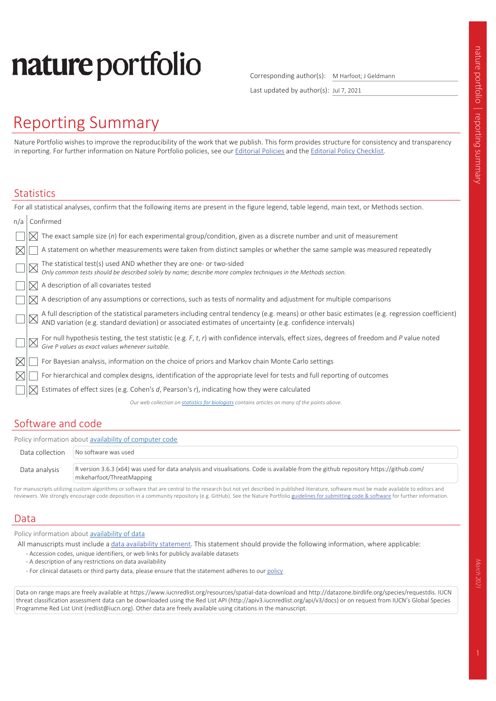# **nature** portfolio

Corresponding author(s): M Harfoot; J Geldmann

Last updated by author(s): Jul 7, 2021

# Reporting Summary

Nature Portfolio wishes to improve the reproducibility of the work that we publish. This form provides structure for consistency and transparency in reporting. For further information on Nature Portfolio policies, see our Editorial Policies and the Editorial Policy Checklist.

#### **Statistics**

| For all statistical analyses, confirm that the following items are present in the figure legend, table legend, main text, or Methods section.                                                                                  |  |
|--------------------------------------------------------------------------------------------------------------------------------------------------------------------------------------------------------------------------------|--|
| Confirmed<br>n/a                                                                                                                                                                                                               |  |
| The exact sample size $(n)$ for each experimental group/condition, given as a discrete number and unit of measurement                                                                                                          |  |
| A statement on whether measurements were taken from distinct samples or whether the same sample was measured repeatedly                                                                                                        |  |
| The statistical test(s) used AND whether they are one- or two-sided<br>Only common tests should be described solely by name; describe more complex techniques in the Methods section.                                          |  |
| A description of all covariates tested                                                                                                                                                                                         |  |
| A description of any assumptions or corrections, such as tests of normality and adjustment for multiple comparisons                                                                                                            |  |
| A full description of the statistical parameters including central tendency (e.g. means) or other basic estimates (e.g. regression coefficient) AND variation (e.g. standard deviation) or associated estimates of uncertainty |  |
| For null hypothesis testing, the test statistic (e.g. F, t, r) with confidence intervals, effect sizes, degrees of freedom and P value noted<br>Give P values as exact values whenever suitable.                               |  |
| For Bayesian analysis, information on the choice of priors and Markov chain Monte Carlo settings                                                                                                                               |  |
| For hierarchical and complex designs, identification of the appropriate level for tests and full reporting of outcomes                                                                                                         |  |
| Estimates of effect sizes (e.g. Cohen's d, Pearson's r), indicating how they were calculated                                                                                                                                   |  |
| Our web collection on statistics for biologists contains articles on many of the points above.                                                                                                                                 |  |
|                                                                                                                                                                                                                                |  |

### Software and code

| Policy information about availability of computer code |                                                                                                                                                                    |  |  |
|--------------------------------------------------------|--------------------------------------------------------------------------------------------------------------------------------------------------------------------|--|--|
| Data collection                                        | No software was used                                                                                                                                               |  |  |
| Data analysis                                          | R version 3.6.3 (x64) was used for data analysis and visualisations. Code is available from the github repository https://github.com/<br>mikeharfoot/ThreatMapping |  |  |

For manuscripts utilizing custom algorithms or software that are central to the research but not yet described in published literature, software must be made available to editors and reviewers. We strongly encourage code deposition in a community repository (e.g. GitHub). See the Nature Portfolio guidelines for submitting code & software for further information

### Data

Policy information about availability of data

All manuscripts must include a data availability statement. This statement should provide the following information, where applicable:

- Accession codes, unique identifiers, or web links for publicly available datasets
- A description of any restrictions on data availability
- For clinical datasets or third party data, please ensure that the statement adheres to our policy

Data on range maps are freely available at https://www.iucnredlist.org/resources/spatial-data-download and http://datazone.birdlife.org/species/requestdis. IUCN threat classification assessment data can be downloaded using the Red List API (http://apiv3.iucnredlist.org/api/v3/docs) or on request from IUCN's Global Species Programme Red List Unit (redlist@iucn.org). Other data are freely available using citations in the manuscript.